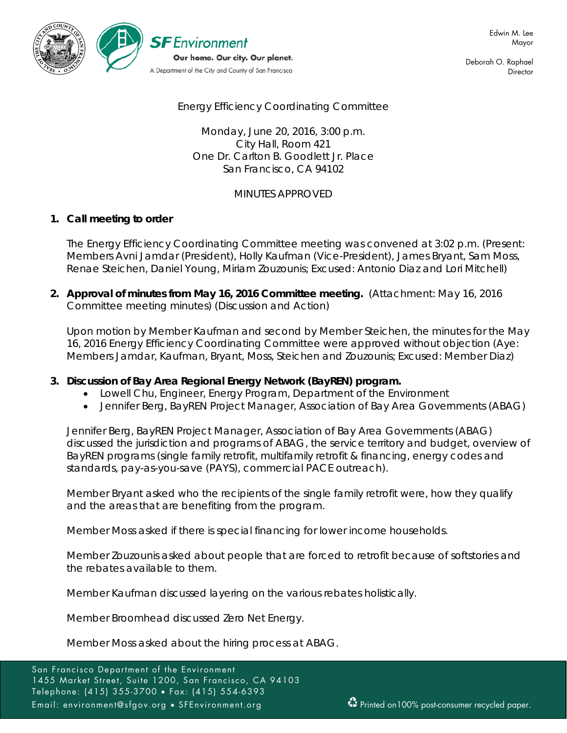

Deborah O. Raphael **Director** 

# Energy Efficiency Coordinating Committee

Monday, June 20, 2016, 3:00 p.m. City Hall, Room 421 One Dr. Carlton B. Goodlett Jr. Place San Francisco, CA 94102

# MINUTES APPROVED

## **1. Call meeting to order**

The Energy Efficiency Coordinating Committee meeting was convened at 3:02 p.m. (Present: Members Avni Jamdar (President), Holly Kaufman (Vice-President), James Bryant, Sam Moss, Renae Steichen, Daniel Young, Miriam Zouzounis; Excused: Antonio Diaz and Lori Mitchell)

**2. Approval of minutes from May 16, 2016 Committee meeting.** (Attachment: May 16, 2016 Committee meeting minutes) (Discussion and Action)

Upon motion by Member Kaufman and second by Member Steichen, the minutes for the May 16, 2016 Energy Efficiency Coordinating Committee were approved without objection (Aye: Members Jamdar, Kaufman, Bryant, Moss, Steichen and Zouzounis; Excused: Member Diaz)

## **3. Discussion of Bay Area Regional Energy Network (BayREN) program.**

- Lowell Chu, Engineer, Energy Program, Department of the Environment
- Jennifer Berg, BayREN Project Manager, Association of Bay Area Governments (ABAG)

Jennifer Berg, BayREN Project Manager, Association of Bay Area Governments (ABAG) discussed the jurisdiction and programs of ABAG, the service territory and budget, overview of BayREN programs (single family retrofit, multifamily retrofit & financing, energy codes and standards, pay-as-you-save (PAYS), commercial PACE outreach).

Member Bryant asked who the recipients of the single family retrofit were, how they qualify and the areas that are benefiting from the program.

Member Moss asked if there is special financing for lower income households.

Member Zouzounis asked about people that are forced to retrofit because of softstories and the rebates available to them.

Member Kaufman discussed layering on the various rebates holistically.

Member Broomhead discussed Zero Net Energy.

Member Moss asked about the hiring process at ABAG.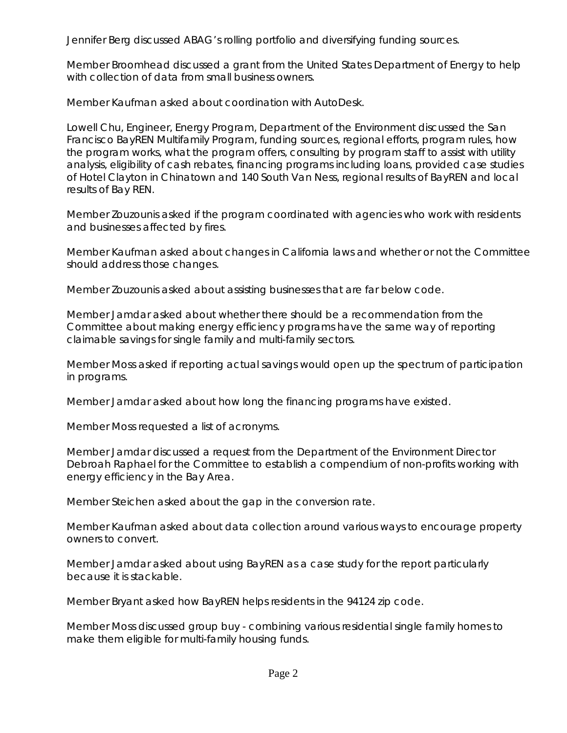Jennifer Berg discussed ABAG's rolling portfolio and diversifying funding sources.

Member Broomhead discussed a grant from the United States Department of Energy to help with collection of data from small business owners.

Member Kaufman asked about coordination with AutoDesk.

Lowell Chu, Engineer, Energy Program, Department of the Environment discussed the San Francisco BayREN Multifamily Program, funding sources, regional efforts, program rules, how the program works, what the program offers, consulting by program staff to assist with utility analysis, eligibility of cash rebates, financing programs including loans, provided case studies of Hotel Clayton in Chinatown and 140 South Van Ness, regional results of BayREN and local results of Bay REN.

Member Zouzounis asked if the program coordinated with agencies who work with residents and businesses affected by fires.

Member Kaufman asked about changes in California laws and whether or not the Committee should address those changes.

Member Zouzounis asked about assisting businesses that are far below code.

Member Jamdar asked about whether there should be a recommendation from the Committee about making energy efficiency programs have the same way of reporting claimable savings for single family and multi-family sectors.

Member Moss asked if reporting actual savings would open up the spectrum of participation in programs.

Member Jamdar asked about how long the financing programs have existed.

Member Moss requested a list of acronyms.

Member Jamdar discussed a request from the Department of the Environment Director Debroah Raphael for the Committee to establish a compendium of non-profits working with energy efficiency in the Bay Area.

Member Steichen asked about the gap in the conversion rate.

Member Kaufman asked about data collection around various ways to encourage property owners to convert.

Member Jamdar asked about using BayREN as a case study for the report particularly because it is stackable.

Member Bryant asked how BayREN helps residents in the 94124 zip code.

Member Moss discussed group buy - combining various residential single family homes to make them eligible for multi-family housing funds.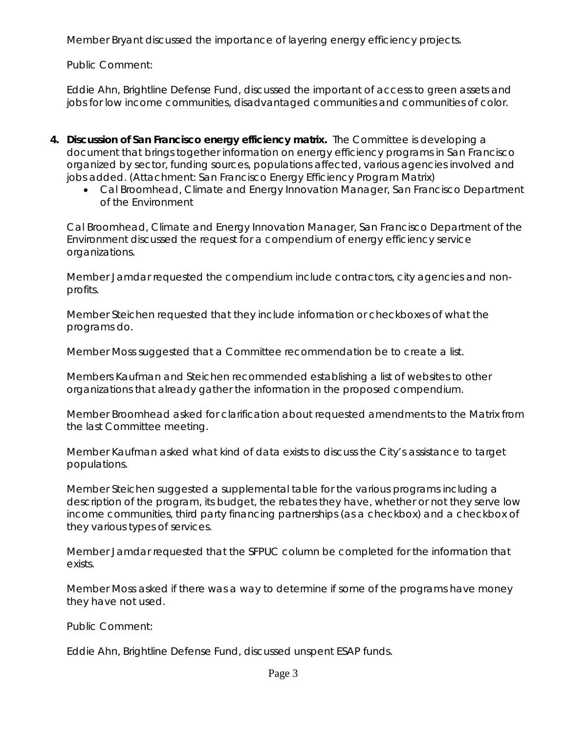Member Bryant discussed the importance of layering energy efficiency projects.

Public Comment:

Eddie Ahn, Brightline Defense Fund, discussed the important of access to green assets and jobs for low income communities, disadvantaged communities and communities of color.

- **4. Discussion of San Francisco energy efficiency matrix.** The Committee is developing a document that brings together information on energy efficiency programs in San Francisco organized by sector, funding sources, populations affected, various agencies involved and jobs added. (Attachment: San Francisco Energy Efficiency Program Matrix)
	- Cal Broomhead, Climate and Energy Innovation Manager, San Francisco Department of the Environment

Cal Broomhead, Climate and Energy Innovation Manager, San Francisco Department of the Environment discussed the request for a compendium of energy efficiency service organizations.

Member Jamdar requested the compendium include contractors, city agencies and nonprofits.

Member Steichen requested that they include information or checkboxes of what the programs do.

Member Moss suggested that a Committee recommendation be to create a list.

Members Kaufman and Steichen recommended establishing a list of websites to other organizations that already gather the information in the proposed compendium.

Member Broomhead asked for clarification about requested amendments to the Matrix from the last Committee meeting.

Member Kaufman asked what kind of data exists to discuss the City's assistance to target populations.

Member Steichen suggested a supplemental table for the various programs including a description of the program, its budget, the rebates they have, whether or not they serve low income communities, third party financing partnerships (as a checkbox) and a checkbox of they various types of services.

Member Jamdar requested that the SFPUC column be completed for the information that exists.

Member Moss asked if there was a way to determine if some of the programs have money they have not used.

Public Comment:

Eddie Ahn, Brightline Defense Fund, discussed unspent ESAP funds.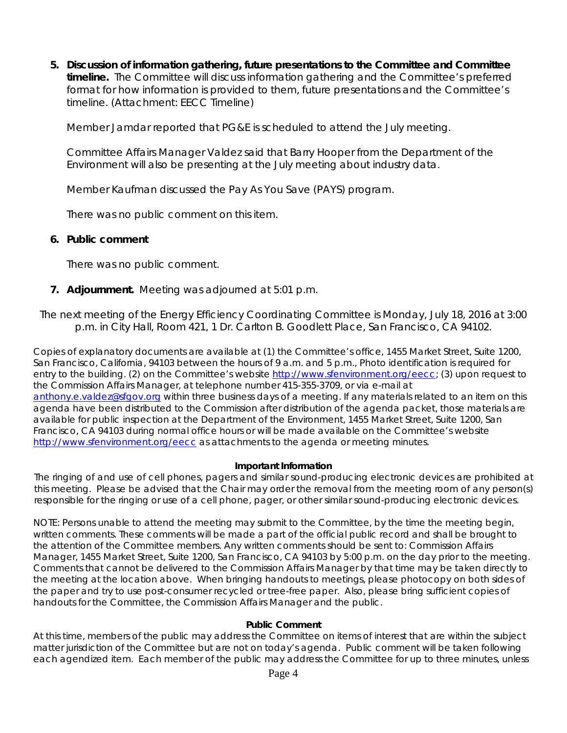**5. Discussion of information gathering, future presentations to the Committee and Committee timeline.** The Committee will discuss information gathering and the Committee's preferred format for how information is provided to them, future presentations and the Committee's timeline. (Attachment: EECC Timeline)

Member Jamdar reported that PG&E is scheduled to attend the July meeting.

Committee Affairs Manager Valdez said that Barry Hooper from the Department of the Environment will also be presenting at the July meeting about industry data.

Member Kaufman discussed the Pay As You Save (PAYS) program.

There was no public comment on this item.

#### **6. Public comment**

There was no public comment.

**7. Adjournment.** Meeting was adjourned at 5:01 p.m.

## *The next meeting of the Energy Efficiency Coordinating Committee is Monday, July 18, 2016 at 3:00 p.m. in City Hall, Room 421, 1 Dr. Carlton B. Goodlett Place, San Francisco, CA 94102.*

Copies of explanatory documents are available at (1) the Committee's office, 1455 Market Street, Suite 1200, San Francisco, California, 94103 between the hours of 9 a.m. and 5 p.m., Photo identification is required for entry to the building. (2) on the Committee's website http://www.sfenvironment.org/eecc; (3) upon request to the Commission Affairs Manager, at telephone number 415-355-3709, or via e-mail at [anthony.e.valdez@sfgov.org](mailto:anthony.e.valdez@sfgov.org) within three business days of a meeting. If any materials related to an item on this agenda have been distributed to the Commission after distribution of the agenda packet, those materials are available for public inspection at the Department of the Environment, 1455 Market Street, Suite 1200, San Francisco, CA 94103 during normal office hours or will be made available on the Committee's website <http://www.sfenvironment.org/eecc> as attachments to the agenda or meeting minutes.

#### **Important Information**

The ringing of and use of cell phones, pagers and similar sound-producing electronic devices are prohibited at this meeting. Please be advised that the Chair may order the removal from the meeting room of any person(s) responsible for the ringing or use of a cell phone, pager, or other similar sound-producing electronic devices.

NOTE: Persons unable to attend the meeting may submit to the Committee, by the time the meeting begin, written comments. These comments will be made a part of the official public record and shall be brought to the attention of the Committee members. Any written comments should be sent to: Commission Affairs Manager, 1455 Market Street, Suite 1200, San Francisco, CA 94103 by 5:00 p.m. on the day prior to the meeting. Comments that cannot be delivered to the Commission Affairs Manager by that time may be taken directly to the meeting at the location above. When bringing handouts to meetings, please photocopy on both sides of the paper and try to use post-consumer recycled or tree-free paper. Also, please bring sufficient copies of handouts for the Committee, the Commission Affairs Manager and the public.

#### **Public Comment**

At this time, members of the public may address the Committee on items of interest that are within the subject matter jurisdiction of the Committee but are not on today's agenda. Public comment will be taken following each agendized item. Each member of the public may address the Committee for up to three minutes, unless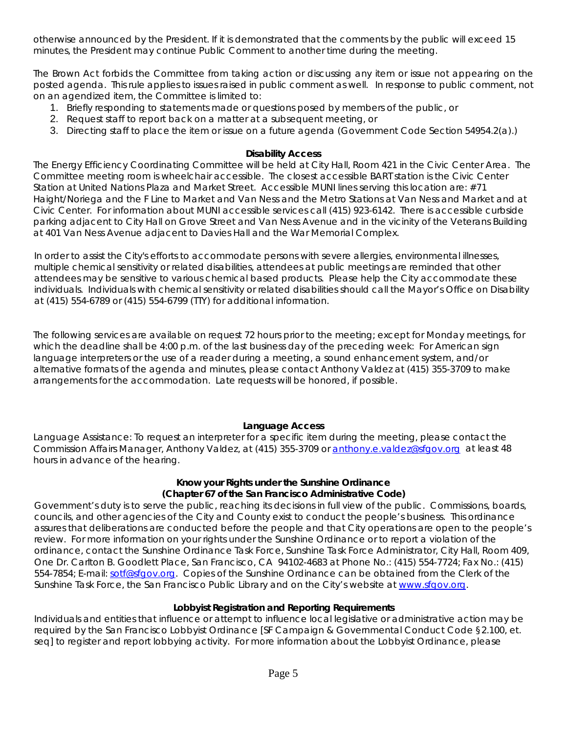otherwise announced by the President. If it is demonstrated that the comments by the public will exceed 15 minutes, the President may continue Public Comment to another time during the meeting.

The Brown Act forbids the Committee from taking action or discussing any item or issue not appearing on the posted agenda. This rule applies to issues raised in public comment as well. In response to public comment, not on an agendized item, the Committee is limited to:

- 1. Briefly responding to statements made or questions posed by members of the public, or
- 2. Request staff to report back on a matter at a subsequent meeting, or
- 3. Directing staff to place the item or issue on a future agenda (Government Code Section 54954.2(a).)

#### **Disability Access**

The Energy Efficiency Coordinating Committee will be held at City Hall, Room 421 in the Civic Center Area. The Committee meeting room is wheelchair accessible. The closest accessible BART station is the Civic Center Station at United Nations Plaza and Market Street. Accessible MUNI lines serving this location are: #71 Haight/Noriega and the F Line to Market and Van Ness and the Metro Stations at Van Ness and Market and at Civic Center. For information about MUNI accessible services call (415) 923-6142. There is accessible curbside parking adjacent to City Hall on Grove Street and Van Ness Avenue and in the vicinity of the Veterans Building at 401 Van Ness Avenue adjacent to Davies Hall and the War Memorial Complex.

In order to assist the City's efforts to accommodate persons with severe allergies, environmental illnesses, multiple chemical sensitivity or related disabilities, attendees at public meetings are reminded that other attendees may be sensitive to various chemical based products. Please help the City accommodate these individuals. Individuals with chemical sensitivity or related disabilities should call the Mayor's Office on Disability at (415) 554-6789 or (415) 554-6799 (TTY) for additional information.

The following services are available on request 72 hours prior to the meeting; except for Monday meetings, for which the deadline shall be 4:00 p.m. of the last business day of the preceding week: For American sign language interpreters or the use of a reader during a meeting, a sound enhancement system, and/or alternative formats of the agenda and minutes, please contact Anthony Valdez at (415) 355-3709 to make arrangements for the accommodation. Late requests will be honored, if possible.

## **Language Access**

Language Assistance: To request an interpreter for a specific item during the meeting, please contact the Commission Affairs Manager, Anthony Valdez, at (415) 355-3709 or [anthony.e.valdez@sfgov.org](mailto:anthony.e.valdez@sfgov.org) at least 48 hours in advance of the hearing.

### **Know your Rights under the Sunshine Ordinance (Chapter 67 of the San Francisco Administrative Code)**

Government's duty is to serve the public, reaching its decisions in full view of the public. Commissions, boards, councils, and other agencies of the City and County exist to conduct the people's business. This ordinance assures that deliberations are conducted before the people and that City operations are open to the people's review. For more information on your rights under the Sunshine Ordinance or to report a violation of the ordinance, contact the Sunshine Ordinance Task Force, Sunshine Task Force Administrator, City Hall, Room 409, One Dr. Carlton B. Goodlett Place, San Francisco, CA 94102-4683 at Phone No.: (415) 554-7724; Fax No.: (415) 554-7854; E-mail: [sotf@sfgov.org.](mailto:sotf@sfgov.org) Copies of the Sunshine Ordinance can be obtained from the Clerk of the Sunshine Task Force, the San Francisco Public Library and on the City's website at [www.sfgov.org.](http://www.sfgov.org/)

## **Lobbyist Registration and Reporting Requirements**

Individuals and entities that influence or attempt to influence local legislative or administrative action may be required by the San Francisco Lobbyist Ordinance [SF Campaign & Governmental Conduct Code §2.100, et. seq] to register and report lobbying activity. For more information about the Lobbyist Ordinance, please